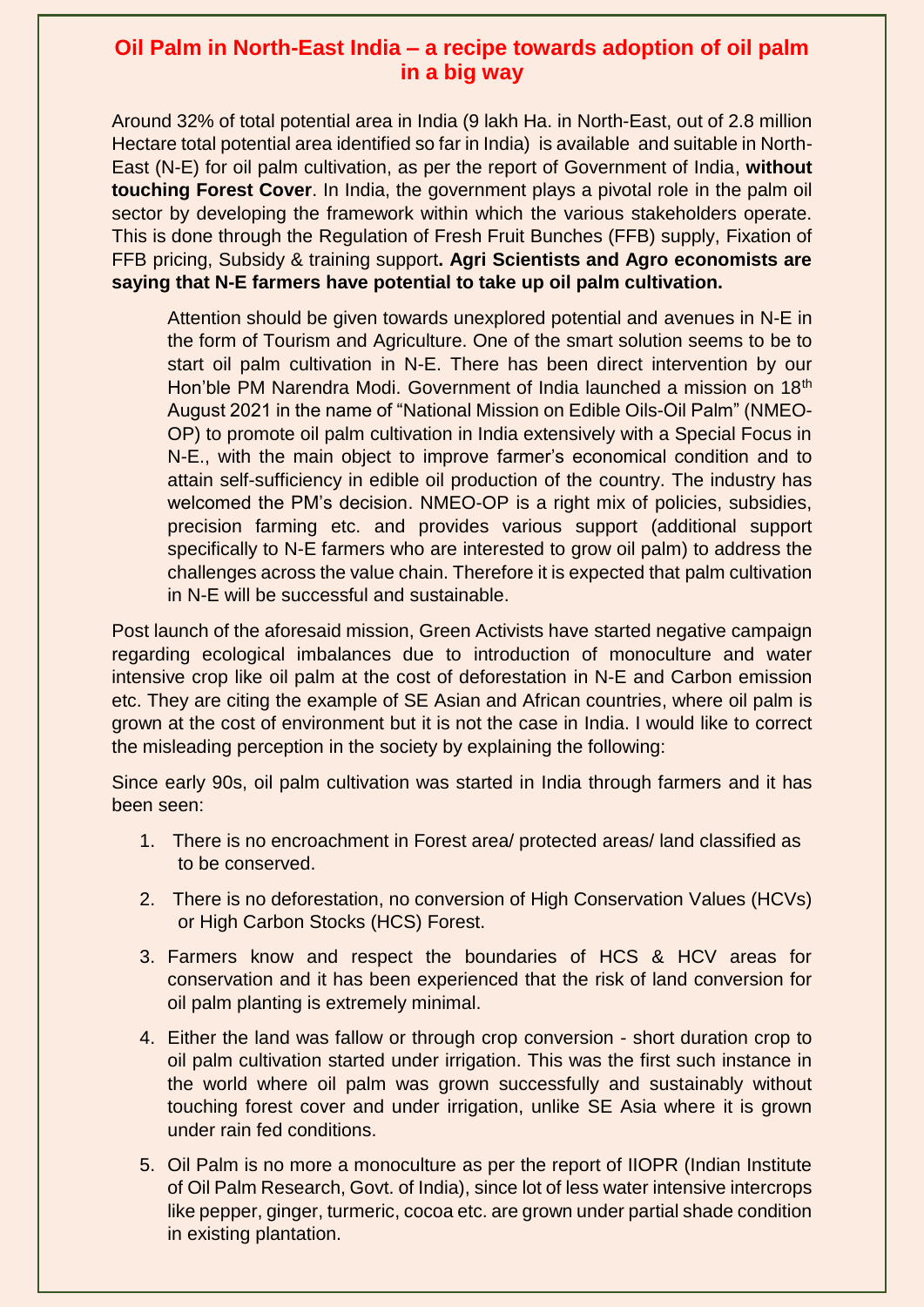## **Oil Palm in North-East India – a recipe towards adoption of oil palm in a big way**

Around 32% of total potential area in India (9 lakh Ha. in North-East, out of 2.8 million Hectare total potential area identified so far in India) is available and suitable in North-East (N-E) for oil palm cultivation, as per the report of Government of India, **without touching Forest Cover**. In India, the government plays a pivotal role in the palm oil sector by developing the framework within which the various stakeholders operate. This is done through the Regulation of Fresh Fruit Bunches (FFB) supply, Fixation of FFB pricing, Subsidy & training support**. Agri Scientists and Agro economists are saying that N-E farmers have potential to take up oil palm cultivation.**

Attention should be given towards unexplored potential and avenues in N-E in the form of Tourism and Agriculture. One of the smart solution seems to be to start oil palm cultivation in N-E. There has been direct intervention by our Hon'ble PM Narendra Modi. Government of India launched a mission on 18th August 2021 in the name of "National Mission on Edible Oils-Oil Palm" (NMEO-OP) to promote oil palm cultivation in India extensively with a Special Focus in N-E., with the main object to improve farmer's economical condition and to attain self-sufficiency in edible oil production of the country. The industry has welcomed the PM's decision. NMEO-OP is a right mix of policies, subsidies, precision farming etc. and provides various support (additional support specifically to N-E farmers who are interested to grow oil palm) to address the challenges across the value chain. Therefore it is expected that palm cultivation in N-E will be successful and sustainable.

Post launch of the aforesaid mission, Green Activists have started negative campaign regarding ecological imbalances due to introduction of monoculture and water intensive crop like oil palm at the cost of deforestation in N-E and Carbon emission etc. They are citing the example of SE Asian and African countries, where oil palm is grown at the cost of environment but it is not the case in India. I would like to correct the misleading perception in the society by explaining the following:

Since early 90s, oil palm cultivation was started in India through farmers and it has been seen:

- 1. There is no encroachment in Forest area/ protected areas/ land classified as to be conserved.
- 2. There is no deforestation, no conversion of High Conservation Values (HCVs) or High Carbon Stocks (HCS) Forest.
- 3. Farmers know and respect the boundaries of HCS & HCV areas for conservation and it has been experienced that the risk of land conversion for oil palm planting is extremely minimal.
- 4. Either the land was fallow or through crop conversion short duration crop to oil palm cultivation started under irrigation. This was the first such instance in the world where oil palm was grown successfully and sustainably without touching forest cover and under irrigation, unlike SE Asia where it is grown under rain fed conditions.
- 5. Oil Palm is no more a monoculture as per the report of IIOPR (Indian Institute of Oil Palm Research, Govt. of India), since lot of less water intensive intercrops like pepper, ginger, turmeric, cocoa etc. are grown under partial shade condition in existing plantation.